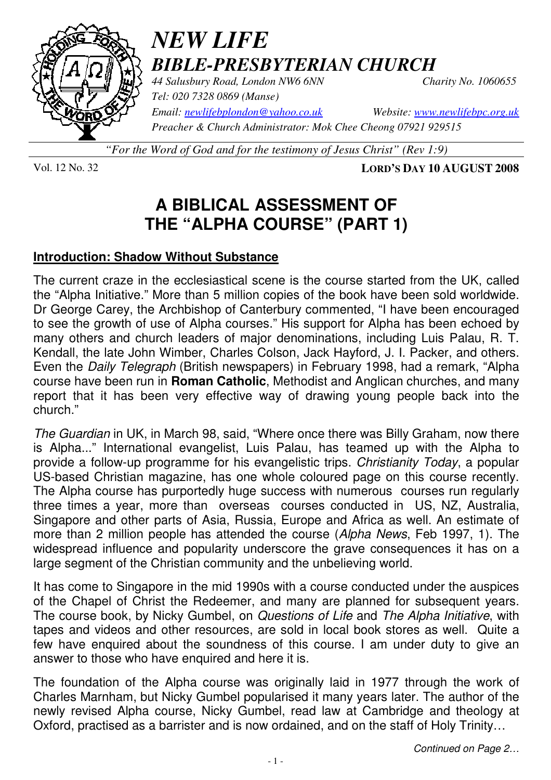

# *NEW LIFE BIBLE-PRESBYTERIAN CHURCH*

*44 Salusbury Road, London NW6 6NN Charity No. 1060655 Tel: 020 7328 0869 (Manse)* 

*Email: newlifebplondon@yahoo.co.uk Website: www.newlifebpc.org.uk Preacher & Church Administrator: Mok Chee Cheong 07921 929515* 

*"For the Word of God and for the testimony of Jesus Christ" (Rev 1:9)*

Vol. 12 No. 32 **LORD'S DAY 10 AUGUST 2008**

# **A BIBLICAL ASSESSMENT OF THE "ALPHA COURSE" (PART 1)**

### **Introduction: Shadow Without Substance**

The current craze in the ecclesiastical scene is the course started from the UK, called the "Alpha Initiative." More than 5 million copies of the book have been sold worldwide. Dr George Carey, the Archbishop of Canterbury commented, "I have been encouraged to see the growth of use of Alpha courses." His support for Alpha has been echoed by many others and church leaders of major denominations, including Luis Palau, R. T. Kendall, the late John Wimber, Charles Colson, Jack Hayford, J. I. Packer, and others. Even the Daily Telegraph (British newspapers) in February 1998, had a remark, "Alpha course have been run in **Roman Catholic**, Methodist and Anglican churches, and many report that it has been very effective way of drawing young people back into the church."

The Guardian in UK, in March 98, said, "Where once there was Billy Graham, now there is Alpha..." International evangelist, Luis Palau, has teamed up with the Alpha to provide a follow-up programme for his evangelistic trips. Christianity Today, a popular US-based Christian magazine, has one whole coloured page on this course recently. The Alpha course has purportedly huge success with numerous courses run regularly three times a year, more than overseas courses conducted in US, NZ, Australia, Singapore and other parts of Asia, Russia, Europe and Africa as well. An estimate of more than 2 million people has attended the course (Alpha News, Feb 1997, 1). The widespread influence and popularity underscore the grave consequences it has on a large segment of the Christian community and the unbelieving world.

It has come to Singapore in the mid 1990s with a course conducted under the auspices of the Chapel of Christ the Redeemer, and many are planned for subsequent years. The course book, by Nicky Gumbel, on Questions of Life and The Alpha Initiative, with tapes and videos and other resources, are sold in local book stores as well. Quite a few have enquired about the soundness of this course. I am under duty to give an answer to those who have enquired and here it is.

The foundation of the Alpha course was originally laid in 1977 through the work of Charles Marnham, but Nicky Gumbel popularised it many years later. The author of the newly revised Alpha course, Nicky Gumbel, read law at Cambridge and theology at Oxford, practised as a barrister and is now ordained, and on the staff of Holy Trinity…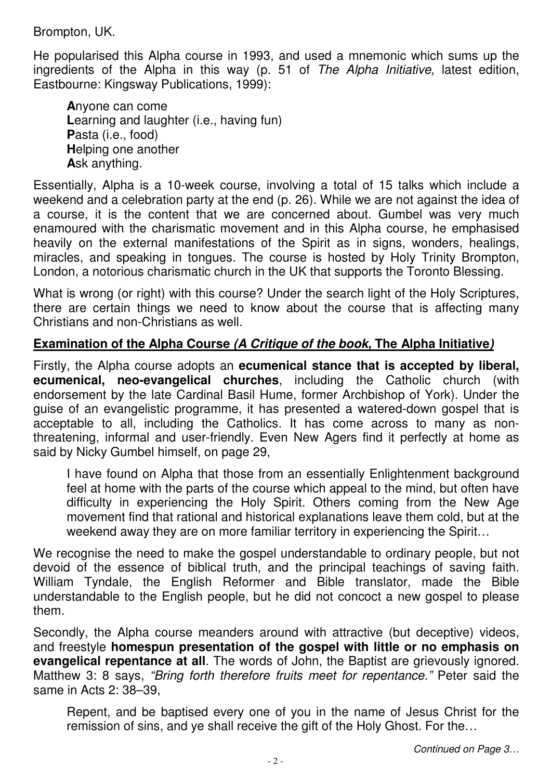Brompton, UK.

He popularised this Alpha course in 1993, and used a mnemonic which sums up the ingredients of the Alpha in this way (p. 51 of The Alpha Initiative, latest edition, Eastbourne: Kingsway Publications, 1999):

**A**nyone can come Learning and laughter (i.e., having fun) **P**asta (i.e., food) **H**elping one another **A**sk anything.

Essentially, Alpha is a 10-week course, involving a total of 15 talks which include a weekend and a celebration party at the end (p. 26). While we are not against the idea of a course, it is the content that we are concerned about. Gumbel was very much enamoured with the charismatic movement and in this Alpha course, he emphasised heavily on the external manifestations of the Spirit as in signs, wonders, healings, miracles, and speaking in tongues. The course is hosted by Holy Trinity Brompton, London, a notorious charismatic church in the UK that supports the Toronto Blessing.

What is wrong (or right) with this course? Under the search light of the Holy Scriptures, there are certain things we need to know about the course that is affecting many Christians and non-Christians as well.

## **Examination of the Alpha Course (A Critique of the book, The Alpha Initiative)**

Firstly, the Alpha course adopts an **ecumenical stance that is accepted by liberal, ecumenical, neo-evangelical churches**, including the Catholic church (with endorsement by the late Cardinal Basil Hume, former Archbishop of York). Under the guise of an evangelistic programme, it has presented a watered-down gospel that is acceptable to all, including the Catholics. It has come across to many as nonthreatening, informal and user-friendly. Even New Agers find it perfectly at home as said by Nicky Gumbel himself, on page 29,

I have found on Alpha that those from an essentially Enlightenment background feel at home with the parts of the course which appeal to the mind, but often have difficulty in experiencing the Holy Spirit. Others coming from the New Age movement find that rational and historical explanations leave them cold, but at the weekend away they are on more familiar territory in experiencing the Spirit…

We recognise the need to make the gospel understandable to ordinary people, but not devoid of the essence of biblical truth, and the principal teachings of saving faith. William Tyndale, the English Reformer and Bible translator, made the Bible understandable to the English people, but he did not concoct a new gospel to please them.

Secondly, the Alpha course meanders around with attractive (but deceptive) videos, and freestyle **homespun presentation of the gospel with little or no emphasis on evangelical repentance at all**. The words of John, the Baptist are grievously ignored. Matthew 3: 8 says, "Bring forth therefore fruits meet for repentance." Peter said the same in Acts 2: 38–39,

Repent, and be baptised every one of you in the name of Jesus Christ for the remission of sins, and ye shall receive the gift of the Holy Ghost. For the…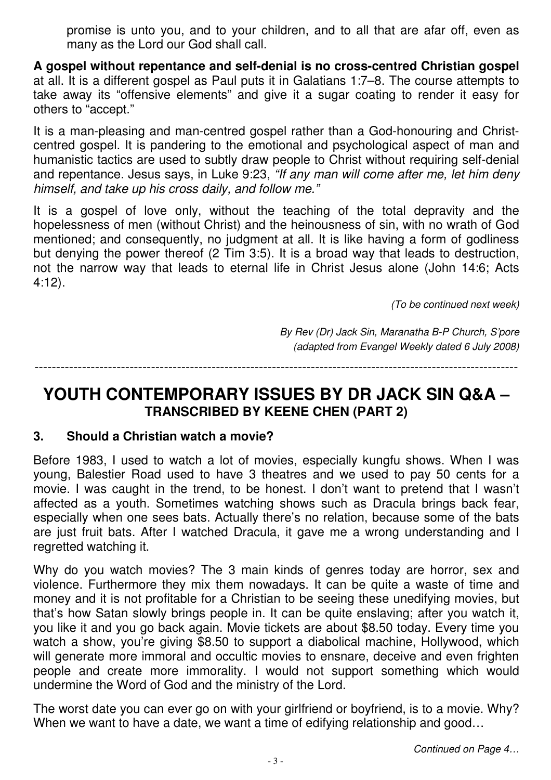promise is unto you, and to your children, and to all that are afar off, even as many as the Lord our God shall call.

**A gospel without repentance and self-denial is no cross-centred Christian gospel** at all. It is a different gospel as Paul puts it in Galatians 1:7–8. The course attempts to take away its "offensive elements" and give it a sugar coating to render it easy for others to "accept."

It is a man-pleasing and man-centred gospel rather than a God-honouring and Christcentred gospel. It is pandering to the emotional and psychological aspect of man and humanistic tactics are used to subtly draw people to Christ without requiring self-denial and repentance. Jesus says, in Luke 9:23, "If any man will come after me, let him deny himself, and take up his cross daily, and follow me."

It is a gospel of love only, without the teaching of the total depravity and the hopelessness of men (without Christ) and the heinousness of sin, with no wrath of God mentioned; and consequently, no judgment at all. It is like having a form of godliness but denying the power thereof (2 Tim 3:5). It is a broad way that leads to destruction, not the narrow way that leads to eternal life in Christ Jesus alone (John 14:6; Acts 4:12).

(To be continued next week)

By Rev (Dr) Jack Sin, Maranatha B-P Church, S'pore (adapted from Evangel Weekly dated 6 July 2008)

----------------------------------------------------------------------------------------------------------------

## **YOUTH CONTEMPORARY ISSUES BY DR JACK SIN Q&A – TRANSCRIBED BY KEENE CHEN (PART 2)**

#### **3. Should a Christian watch a movie?**

Before 1983, I used to watch a lot of movies, especially kungfu shows. When I was young, Balestier Road used to have 3 theatres and we used to pay 50 cents for a movie. I was caught in the trend, to be honest. I don't want to pretend that I wasn't affected as a youth. Sometimes watching shows such as Dracula brings back fear, especially when one sees bats. Actually there's no relation, because some of the bats are just fruit bats. After I watched Dracula, it gave me a wrong understanding and I regretted watching it.

Why do you watch movies? The 3 main kinds of genres today are horror, sex and violence. Furthermore they mix them nowadays. It can be quite a waste of time and money and it is not profitable for a Christian to be seeing these unedifying movies, but that's how Satan slowly brings people in. It can be quite enslaving; after you watch it, you like it and you go back again. Movie tickets are about \$8.50 today. Every time you watch a show, you're giving \$8.50 to support a diabolical machine, Hollywood, which will generate more immoral and occultic movies to ensnare, deceive and even frighten people and create more immorality. I would not support something which would undermine the Word of God and the ministry of the Lord.

The worst date you can ever go on with your girlfriend or boyfriend, is to a movie. Why? When we want to have a date, we want a time of edifying relationship and good...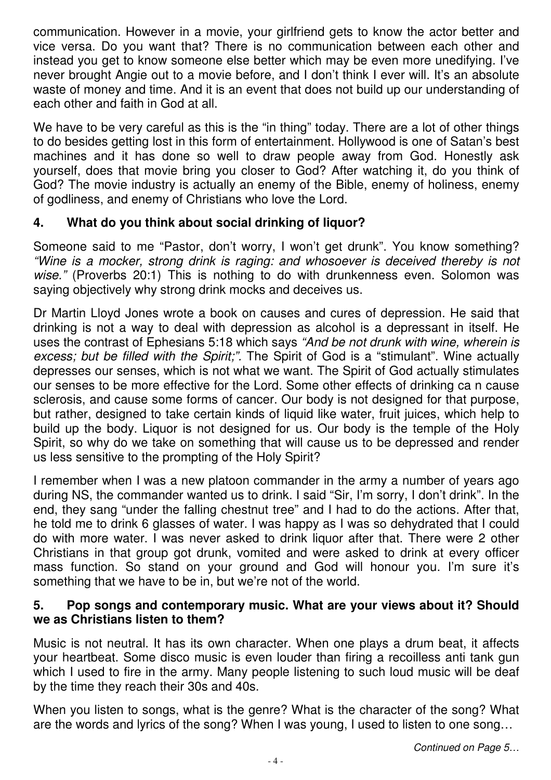communication. However in a movie, your girlfriend gets to know the actor better and vice versa. Do you want that? There is no communication between each other and instead you get to know someone else better which may be even more unedifying. I've never brought Angie out to a movie before, and I don't think I ever will. It's an absolute waste of money and time. And it is an event that does not build up our understanding of each other and faith in God at all.

We have to be very careful as this is the "in thing" today. There are a lot of other things to do besides getting lost in this form of entertainment. Hollywood is one of Satan's best machines and it has done so well to draw people away from God. Honestly ask yourself, does that movie bring you closer to God? After watching it, do you think of God? The movie industry is actually an enemy of the Bible, enemy of holiness, enemy of godliness, and enemy of Christians who love the Lord.

### **4. What do you think about social drinking of liquor?**

Someone said to me "Pastor, don't worry, I won't get drunk". You know something? "Wine is a mocker, strong drink is raging: and whosoever is deceived thereby is not wise." (Proverbs 20:1) This is nothing to do with drunkenness even. Solomon was saying objectively why strong drink mocks and deceives us.

Dr Martin Lloyd Jones wrote a book on causes and cures of depression. He said that drinking is not a way to deal with depression as alcohol is a depressant in itself. He uses the contrast of Ephesians 5:18 which says "And be not drunk with wine, wherein is excess; but be filled with the Spirit;". The Spirit of God is a "stimulant". Wine actually depresses our senses, which is not what we want. The Spirit of God actually stimulates our senses to be more effective for the Lord. Some other effects of drinking ca n cause sclerosis, and cause some forms of cancer. Our body is not designed for that purpose, but rather, designed to take certain kinds of liquid like water, fruit juices, which help to build up the body. Liquor is not designed for us. Our body is the temple of the Holy Spirit, so why do we take on something that will cause us to be depressed and render us less sensitive to the prompting of the Holy Spirit?

I remember when I was a new platoon commander in the army a number of years ago during NS, the commander wanted us to drink. I said "Sir, I'm sorry, I don't drink". In the end, they sang "under the falling chestnut tree" and I had to do the actions. After that, he told me to drink 6 glasses of water. I was happy as I was so dehydrated that I could do with more water. I was never asked to drink liquor after that. There were 2 other Christians in that group got drunk, vomited and were asked to drink at every officer mass function. So stand on your ground and God will honour you. I'm sure it's something that we have to be in, but we're not of the world.

#### **5. Pop songs and contemporary music. What are your views about it? Should we as Christians listen to them?**

Music is not neutral. It has its own character. When one plays a drum beat, it affects your heartbeat. Some disco music is even louder than firing a recoilless anti tank gun which I used to fire in the army. Many people listening to such loud music will be deaf by the time they reach their 30s and 40s.

When you listen to songs, what is the genre? What is the character of the song? What are the words and lyrics of the song? When I was young, I used to listen to one song…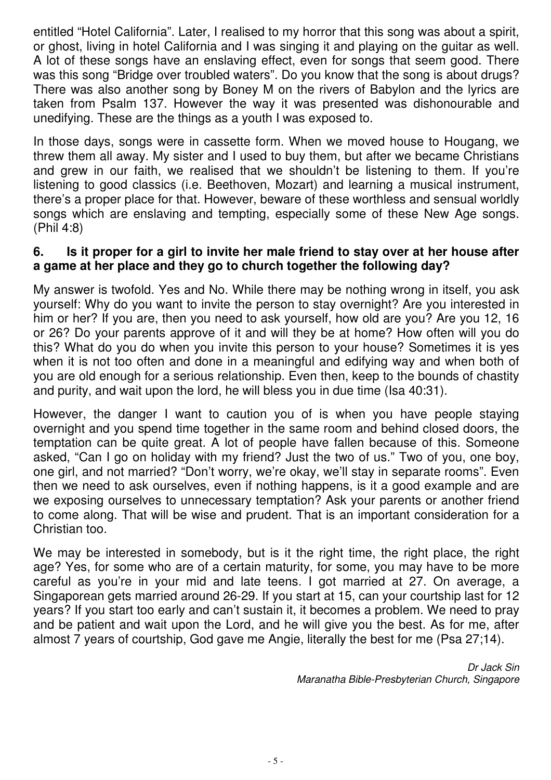entitled "Hotel California". Later, I realised to my horror that this song was about a spirit, or ghost, living in hotel California and I was singing it and playing on the guitar as well. A lot of these songs have an enslaving effect, even for songs that seem good. There was this song "Bridge over troubled waters". Do you know that the song is about drugs? There was also another song by Boney M on the rivers of Babylon and the lyrics are taken from Psalm 137. However the way it was presented was dishonourable and unedifying. These are the things as a youth I was exposed to.

In those days, songs were in cassette form. When we moved house to Hougang, we threw them all away. My sister and I used to buy them, but after we became Christians and grew in our faith, we realised that we shouldn't be listening to them. If you're listening to good classics (i.e. Beethoven, Mozart) and learning a musical instrument, there's a proper place for that. However, beware of these worthless and sensual worldly songs which are enslaving and tempting, especially some of these New Age songs. (Phil 4:8)

#### **6. Is it proper for a girl to invite her male friend to stay over at her house after a game at her place and they go to church together the following day?**

My answer is twofold. Yes and No. While there may be nothing wrong in itself, you ask yourself: Why do you want to invite the person to stay overnight? Are you interested in him or her? If you are, then you need to ask yourself, how old are you? Are you 12, 16 or 26? Do your parents approve of it and will they be at home? How often will you do this? What do you do when you invite this person to your house? Sometimes it is yes when it is not too often and done in a meaningful and edifying way and when both of you are old enough for a serious relationship. Even then, keep to the bounds of chastity and purity, and wait upon the lord, he will bless you in due time (Isa 40:31).

However, the danger I want to caution you of is when you have people staying overnight and you spend time together in the same room and behind closed doors, the temptation can be quite great. A lot of people have fallen because of this. Someone asked, "Can I go on holiday with my friend? Just the two of us." Two of you, one boy, one girl, and not married? "Don't worry, we're okay, we'll stay in separate rooms". Even then we need to ask ourselves, even if nothing happens, is it a good example and are we exposing ourselves to unnecessary temptation? Ask your parents or another friend to come along. That will be wise and prudent. That is an important consideration for a Christian too.

We may be interested in somebody, but is it the right time, the right place, the right age? Yes, for some who are of a certain maturity, for some, you may have to be more careful as you're in your mid and late teens. I got married at 27. On average, a Singaporean gets married around 26-29. If you start at 15, can your courtship last for 12 years? If you start too early and can't sustain it, it becomes a problem. We need to pray and be patient and wait upon the Lord, and he will give you the best. As for me, after almost 7 years of courtship, God gave me Angie, literally the best for me (Psa 27;14).

> Dr Jack Sin Maranatha Bible-Presbyterian Church, Singapore